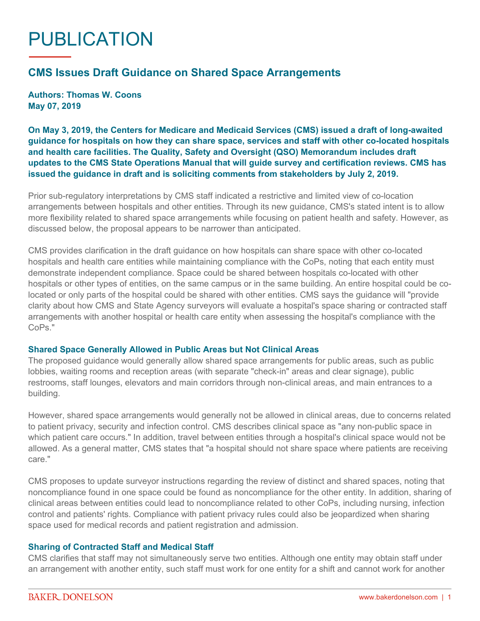# PUBLICATION

# **CMS Issues Draft Guidance on Shared Space Arrangements**

**Authors: Thomas W. Coons May 07, 2019**

**On May 3, 2019, the Centers for Medicare and Medicaid Services (CMS) issued a draft of long-awaited guidance for hospitals on how they can share space, services and staff with other co-located hospitals and health care facilities. The Quality, Safety and Oversight (QSO) Memorandum includes draft updates to the CMS State Operations Manual that will guide survey and certification reviews. CMS has issued the guidance in draft and is soliciting comments from stakeholders by July 2, 2019.**

Prior sub-regulatory interpretations by CMS staff indicated a restrictive and limited view of co-location arrangements between hospitals and other entities. Through its new guidance, CMS's stated intent is to allow more flexibility related to shared space arrangements while focusing on patient health and safety. However, as discussed below, the proposal appears to be narrower than anticipated.

CMS provides clarification in the draft guidance on how hospitals can share space with other co-located hospitals and health care entities while maintaining compliance with the CoPs, noting that each entity must demonstrate independent compliance. Space could be shared between hospitals co-located with other hospitals or other types of entities, on the same campus or in the same building. An entire hospital could be colocated or only parts of the hospital could be shared with other entities. CMS says the guidance will "provide clarity about how CMS and State Agency surveyors will evaluate a hospital's space sharing or contracted staff arrangements with another hospital or health care entity when assessing the hospital's compliance with the CoPs."

#### **Shared Space Generally Allowed in Public Areas but Not Clinical Areas**

The proposed guidance would generally allow shared space arrangements for public areas, such as public lobbies, waiting rooms and reception areas (with separate "check-in" areas and clear signage), public restrooms, staff lounges, elevators and main corridors through non-clinical areas, and main entrances to a building.

However, shared space arrangements would generally not be allowed in clinical areas, due to concerns related to patient privacy, security and infection control. CMS describes clinical space as "any non-public space in which patient care occurs." In addition, travel between entities through a hospital's clinical space would not be allowed. As a general matter, CMS states that "a hospital should not share space where patients are receiving care."

CMS proposes to update surveyor instructions regarding the review of distinct and shared spaces, noting that noncompliance found in one space could be found as noncompliance for the other entity. In addition, sharing of clinical areas between entities could lead to noncompliance related to other CoPs, including nursing, infection control and patients' rights. Compliance with patient privacy rules could also be jeopardized when sharing space used for medical records and patient registration and admission.

#### **Sharing of Contracted Staff and Medical Staff**

CMS clarifies that staff may not simultaneously serve two entities. Although one entity may obtain staff under an arrangement with another entity, such staff must work for one entity for a shift and cannot work for another